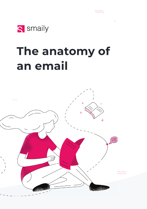

# **The anatomy of an email**

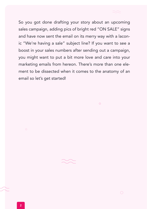So you got done drafting your story about an upcoming sales campaign, adding pics of bright red "ON SALE" signs and have now sent the email on its merry way with a laconic "We're having a sale" subject line? If you want to see a boost in your sales numbers after sending out a campaign, you might want to put a bit more love and care into your marketing emails from hereon. There's more than one element to be dissected when it comes to the anatomy of an email so let's get started!

 $\circ$ 

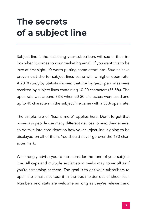# **The secrets of a subject line**

Subject line is the first thing your subscribers will see in their inbox when it comes to your marketing email. If you want this to be love at first sight, it's worth putting some effort into. Studies have proven that shorter subject lines come with a higher open rate. A 2018 study by Statista showed that the biggest open rates were received by subject lines containing 10-20 characters (35.5%). The open rate was around 33% when 20-30 characters were used and up to 40 characters in the subject line came with a 30% open rate.

The simple rule of "less is more" applies here. Don't forget that nowadays people use many different devices to read their emails, so do take into consideration how your subject line is going to be displayed on all of them. You should never go over the 130 character mark.

We strongly advise you to also consider the tone of your subject line. All caps and multiple exclamation marks may come off as if you're screaming at them. The goal is to get your subscribers to open the email, not toss it in the trash folder out of sheer fear. Numbers and stats are welcome as long as they're relevant and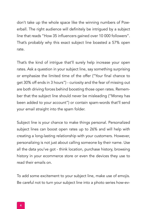don't take up the whole space like the winning numbers of Powerball. The right audience will definitely be intrigued by a subject line that reads "How 35 influencers gained over 10 000 followers". That's probably why this exact subject line boasted a 57% open rate.

That's the kind of intrigue that'll surely help increase your open rates. Ask a question in your subject line, say something surprising or emphasize the limited time of the offer ("Your final chance to get 30% off ends in 3 hours") - curiosity and the fear of missing out are both driving forces behind boosting those open rates. Remember that the subject line should never be misleading ("Money has been added to your account") or contain spam-words that'll send your email straight into the spam folder.

Subject line is your chance to make things personal. Personalized subject lines can boost open rates up to 26% and will help with creating a long-lasting relationship with your customers. However, personalizing is not just about calling someone by their name. Use all the data you've got - think location, purchase history, browsing history in your ecommerce store or even the devices they use to read their emails on.

To add some excitement to your subject line, make use of emojis. Be careful not to turn your subject line into a photo series how-ev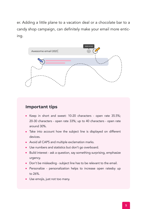er. Adding a little plane to a vacation deal or a chocolate bar to a candy shop campaign, can definitely make your email more enticing.



- Keep in short and sweet: 10-20 characters open rate 35.5%; 20-30 characters - open rate 33%; up to 40 characters - open rate around 30%.
- Take into account how the subject line is displayed on different devices.
- Avoid all CAPS and multiple exclamation marks.
- Use numbers and statistics but don't go overboard.
- Build interest ask a question, say something surprising, emphasize urgency.
- Don't be misleading subject line has to be relevant to the email.
- Personalize personalization helps to increase open ratesby up to 26%.
- Use emojis, just not too many.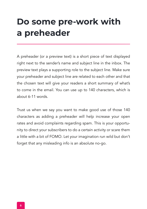# **Do some pre-work with a preheader**

A preheader (or a preview text) is a short piece of text displayed right next to the sender's name and subject line in the inbox. The preview text plays a supporting role to the subject line. Make sure your preheader and subject line are related to each other and that the chosen text will give your readers a short summary of what's to come in the email. You can use up to 140 characters, which is about 6-11 words.

Trust us when we say you want to make good use of those 140 characters as adding a preheader will help increase your open rates and avoid complaints regarding spam. This is your opportunity to direct your subscribers to do a certain activity or scare them a little with a bit of FOMO. Let your imagination run wild but don't forget that any misleading info is an absolute no-go.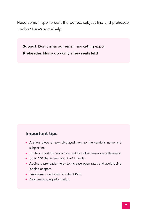Need some inspo to craft the perfect subject line and preheader combo? Here's some help:

**Subject: Don't miss our email marketing expo! Preheader: Hurry up - only a few seats left!** 

- A short piece of text displayed next to the sender's name and subject line.
- Has to support the subject line and give a brief overview of the email.
- Up to 140 characters about 6-11 words.
- Adding a preheader helps to increase open rates and avoid being labeled as spam.
- **Emphasize urgency and create FOMO.**
- Avoid misleading information.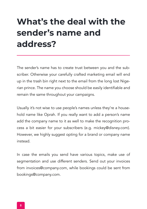# **What's the deal with the sender's name and address?**

The sender's name has to create trust between you and the subscriber. Otherwise your carefully crafted marketing email will end up in the trash bin right next to the email from the long lost Nigerian prince. The name you choose should be easily identifiable and remain the same throughout your campaigns.

Usually it's not wise to use people's names unless they're a household name like Oprah. If you really want to add a person's name add the company name to it as well to make the recognition process a bit easier for your subscribers (e.g. mickey@disney.com). However, we highly suggest opting for a brand or company name instead.

In case the emails you send have various topics, make use of segmentation and use different senders. Send out your invoices from invoices@company.com, while bookings could be sent from bookings@company.com.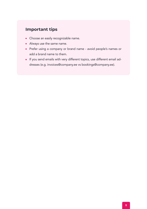- Choose an easily recognizable name.
- Always use the same name.
- Prefer using a company or brand name avoid people's names or add a brand name to them.
- If you send emails with very different topics, use different email addresses (e.g. invoices@company.ee vs bookings@company.ee).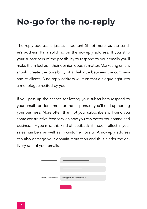# **No-go for the no-reply**

The reply address is just as important (if not more) as the sender's address. It's a solid no on the no-reply address. If you strip your subscribers of the possibility to respond to your emails you'll make them feel as if their opinion doesn't matter. Marketing emails should create the possibility of a dialogue between the company and its clients. A no-reply address will turn that dialogue right into a monologue recited by you.

If you pass up the chance for letting your subscribers respond to your emails or don't monitor the responses, you'll end up hurting your business. More often than not your subscribers will send you some constructive feedback on how you can better your brand and business. IF you miss this kind of feedback, it'll soon reflect in your sales numbers as well as in customer loyalty. A no-reply address can also damage your domain reputation and thus hinder the delivery rate of your emails.

| Reply-to address | info@tehnikamarket.ee |
|------------------|-----------------------|
|                  |                       |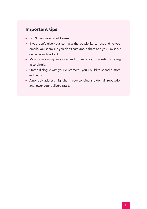- Don't use no-reply addresses.
- If you don't give your contacts the possibility to respond to your emails, you seem like you don't care about them and you'll miss out on valuable feedback.
- Monitor incoming responses and optimize your marketing strategy accordingly.
- Start a dialogue with your customers you'll build trust and customer loyalty.
- A no-reply address might harm your sending and domain reputation and lower your delivery rates.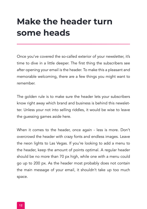# **Make the header turn some heads**

Once you've covered the so-called exterior of your newsletter, it's time to dive in a little deeper. The first thing the subscribers see after opening your email is the header. To make this a pleasant and memorable welcoming, there are a few things you might want to remember.

The golden rule is to make sure the header lets your subscribers know right away which brand and business is behind this newsletter. Unless your not into selling riddles, it would be wise to leave the guessing games aside here.

When it comes to the header, once again - less is more. Don't overcrowd the header with crazy fonts and endless images. Leave the neon lights to Las Vegas. If you're looking to add a menu to the header, keep the amount of points optimal. A regular header should be no more than 70 px high, while one with a menu could go up to 200 px. As the header most probably does not contain the main message of your email, it shouldn't take up too much space.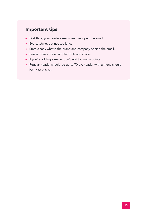- First thing your readers see when they open the email.
- Eye-catching, but not too long.
- State clearly what is the brand and company behind the email.
- Less is more prefer simpler fonts and colors.
- If you're adding a menu, don't add too many points.
- Regular header should be up to 70 px, header with a menu should be up to 200 px.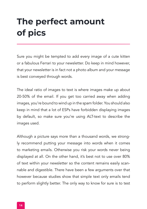# **The perfect amount of pics**

Sure you might be tempted to add every image of a cute kitten or a fabulous Ferrari to your newsletter. Do keep in mind however, that your newsletter is in fact not a photo album and your message is best conveyed through words.

The ideal ratio of images to text is where images make up about 20-50% of the email. If you get too carried away when adding images, you're bound to wind up in the spam folder. You should also keep in mind that a lot of ESPs have forbidden displaying images by default, so make sure you're using ALT-text to describe the images used.

Although a picture says more than a thousand words, we strongly recommend putting your message into words when it comes to marketing emails. Otherwise you risk your words never being displayed at all. On the other hand, it's best not to use over 80% of text within your newsletter so the content remains easily scannable and digestible. There have been a few arguments over that however because studies show that simple text only emails tend to perform slightly better. The only way to know for sure is to test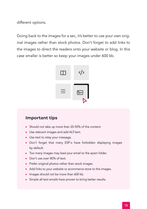different options.

Going back to the images for a sec, it's better to use your own original images rather than stock photos. Don't forget to add links to the images to direct the readers onto your website or blog. In this case smaller is better so keep your images under 600 kb.



- Should not take up more than 20-50% of the content.
- Use relevant images and add ALT-text.
- Use text to relay your message.
- Don't forget that many ESP-s have forbidden displaying images by default.
- Too many images may lead your email to the spam folder.
- Don't use over 80% of text.
- Prefer original photos rather than stock images.
- Add links to your website or ecommerce store to the images.
- Images should not be more than 600 kb.
- Simple all-text emails have proven to bring better results.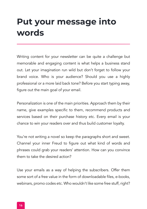### **Put your message into words**

Writing content for your newsletter can be quite a challenge but memorable and engaging content is what helps a business stand out. Let your imagination run wild but don't forget to follow your brand voice. Who is your audience? Should you use a highly professional or a more laid back tone? Before you start typing away, figure out the main goal of your email.

Personalization is one of the main priorities. Approach them by their name, give examples specific to them, recommend products and services based on their purchase history etc. Every email is your chance to win your readers over and thus build customer loyalty.

You're not writing a novel so keep the paragraphs short and sweet. Channel your inner Freud to figure out what kind of words and phrases could grab your readers' attention. How can you convince them to take the desired action?

Use your emails as a way of helping the subscribers. Offer them some sort of a free value in the form of downloadable files, e-books, webinars, promo codes etc. Who wouldn't like some free stuff, right?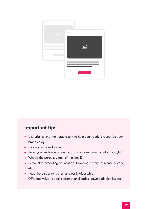

- Use original and memorable text to help your readers recognize your brand easily.
- Follow your brand voice.
- Know your audience should you use a more formal or informal style?.  $\bullet$
- What is the purpose / goal of the email?.
- Personalize according to location, browsing history, purchase history etc.
- Keep the paragraphs short and easily digestable.
- Offer free value ebooks, promotional codes, downloadable files etc.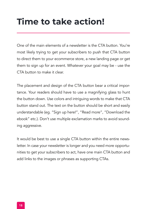### **Time to take action!**

One of the main elements of a newsletter is the CTA button. You're most likely trying to get your subscribers to push that CTA button to direct them to your ecommerce store, a new landing page or get them to sign up for an event. Whatever your goal may be - use the CTA button to make it clear.

The placement and design of the CTA button bear a critical importance. Your readers should have to use a magnifying glass to hunt the button down. Use colors and intriguing words to make that CTA button stand out. The text on the button should be short and easily understandable (eg. "Sign up here!", "Read more", "Download the ebook" etc.). Don't use multiple exclamation marks to avoid sounding aggressive.

It would be best to use a single CTA button within the entire newsletter. In case your newsletter is longer and you need more opportunities to get your subscribers to act, have one main CTA button and add links to the images or phrases as supporting CTAs.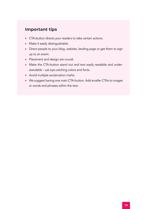- CTA-button directs your readers to take certain actions.
- Make it easily distinguishable.
- Direct people to your blog, website, landing page or get them to sign up to an event.
- Placement and design are crucial.
- Make the CTA-button stand out and text easily readable and understandable - use eye-catching colors and fonts.
- Avoid multiple exclamation marks.
- We suggest having one main CTA-button. Add smaller CTAs to images or words and phrases within the text.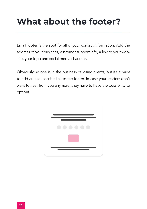# **What about the footer?**

Email footer is the spot for all of your contact information. Add the address of your business, customer support info, a link to your website, your logo and social media channels.

Obviously no one is in the business of losing clients, but it's a must to add an unsubscribe link to the footer. In case your readers don't want to hear from you anymore, they have to have the possibility to opt out.

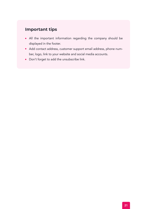- All the important information regarding the company should be displayed in the footer.
- Add contact address, customer support email address, phone number, logo, link to your website and social media accounts.
- Don't forget to add the unsubscribe link.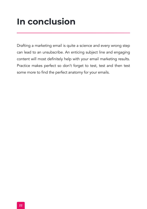# **In conclusion**

Drafting a marketing email is quite a science and every wrong step can lead to an unsubscribe. An enticing subject line and engaging content will most definitely help with your email marketing results. Practice makes perfect so don't forget to test, test and then test some more to find the perfect anatomy for your emails.